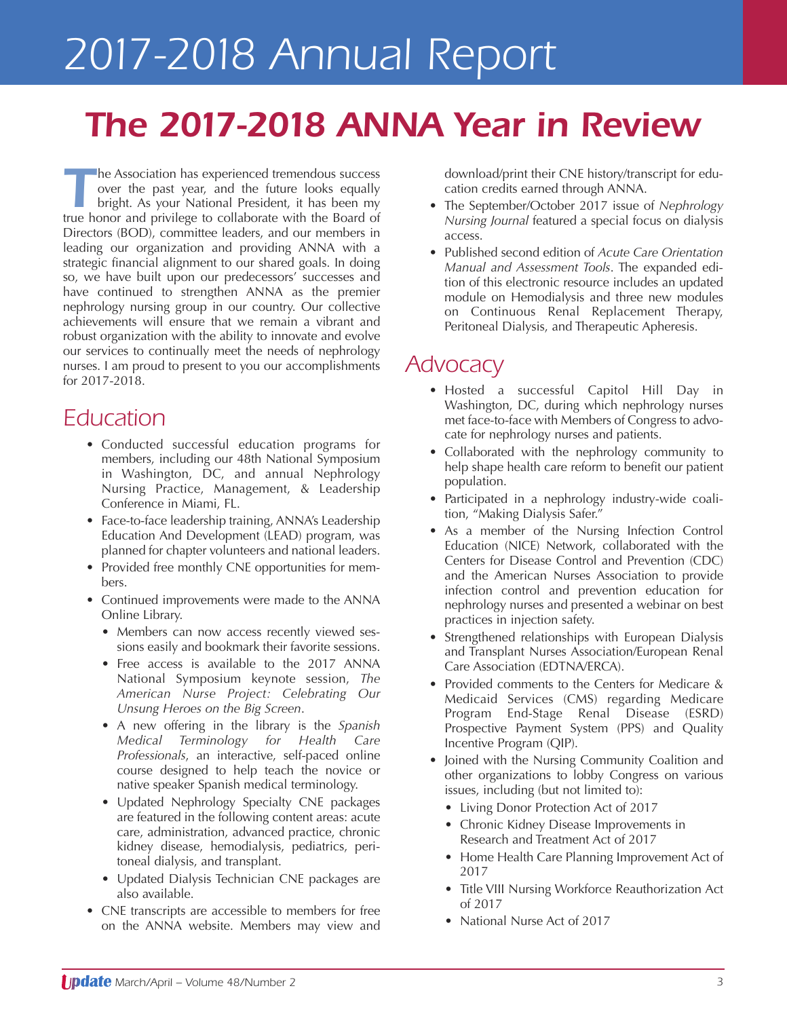# *2017-2018 Annual Report*

## *The 2017-2018 ANNA Year in Review*

**The Association has experienced tremendous success** over the past year, and the future looks equally bright. As your National President, it has been my true honor and privilege to collaborate with the Board of Directors (BOD), committee leaders, and our members in leading our organization and providing ANNA with a strategic financial alignment to our shared goals. In doing so, we have built upon our predecessors' successes and have continued to strengthen ANNA as the premier nephrology nursing group in our country. Our collective achievements will ensure that we remain a vibrant and robust organization with the ability to innovate and evolve our services to continually meet the needs of nephrology nurses. I am proud to present to you our accomplishments for 2017-2018.

## *Education*

- Conducted successful education programs for members, including our 48th National Symposium in Washington, DC, and annual Nephrology Nursing Practice, Management, & Leadership Conference in Miami, FL.
- Face-to-face leadership training, ANNA's Leadership Education And Development (LEAD) program, was planned for chapter volunteers and national leaders.
- Provided free monthly CNE opportunities for members.
- Continued improvements were made to the ANNA Online Library.
	- Members can now access recently viewed sessions easily and bookmark their favorite sessions.
	- Free access is available to the 2017 ANNA National Symposium keynote session, *The American Nurse Project: Celebrating Our Unsung Heroes on the Big Screen*.
	- A new offering in the library is the *Spanish Medical Terminology for Health Care Professionals*, an interactive, self-paced online course designed to help teach the novice or native speaker Spanish medical terminology.
	- Updated Nephrology Specialty CNE packages are featured in the following content areas: acute care, administration, advanced practice, chronic kidney disease, hemodialysis, pediatrics, peritoneal dialysis, and transplant.
	- Updated Dialysis Technician CNE packages are also available.
- CNE transcripts are accessible to members for free on the ANNA website. Members may view and

download/print their CNE history/transcript for education credits earned through ANNA.

- The September/October 2017 issue of *Nephrology Nursing Journal* featured a special focus on dialysis access.
- Published second edition of *Acute Care Orientation Manual and Assessment Tools*. The expanded edition of this electronic resource includes an updated module on Hemodialysis and three new modules on Continuous Renal Replacement Therapy, Peritoneal Dialysis, and Therapeutic Apheresis.

## *Advocacy*

- Hosted a successful Capitol Hill Day in Washington, DC, during which nephrology nurses met face-to-face with Members of Congress to advocate for nephrology nurses and patients.
- Collaborated with the nephrology community to help shape health care reform to benefit our patient population.
- Participated in a nephrology industry-wide coalition, "Making Dialysis Safer."
- As a member of the Nursing Infection Control Education (NICE) Network, collaborated with the Centers for Disease Control and Prevention (CDC) and the American Nurses Association to provide infection control and prevention education for nephrology nurses and presented a webinar on best practices in injection safety.
- Strengthened relationships with European Dialysis and Transplant Nurses Association/European Renal Care Association (EDTNA/ERCA).
- Provided comments to the Centers for Medicare & Medicaid Services (CMS) regarding Medicare Program End-Stage Renal Disease (ESRD) Prospective Payment System (PPS) and Quality Incentive Program (QIP).
- Joined with the Nursing Community Coalition and other organizations to lobby Congress on various issues, including (but not limited to):
	- Living Donor Protection Act of 2017
	- Chronic Kidney Disease Improvements in Research and Treatment Act of 2017
	- Home Health Care Planning Improvement Act of 2017
	- Title VIII Nursing Workforce Reauthorization Act of 2017
	- National Nurse Act of 2017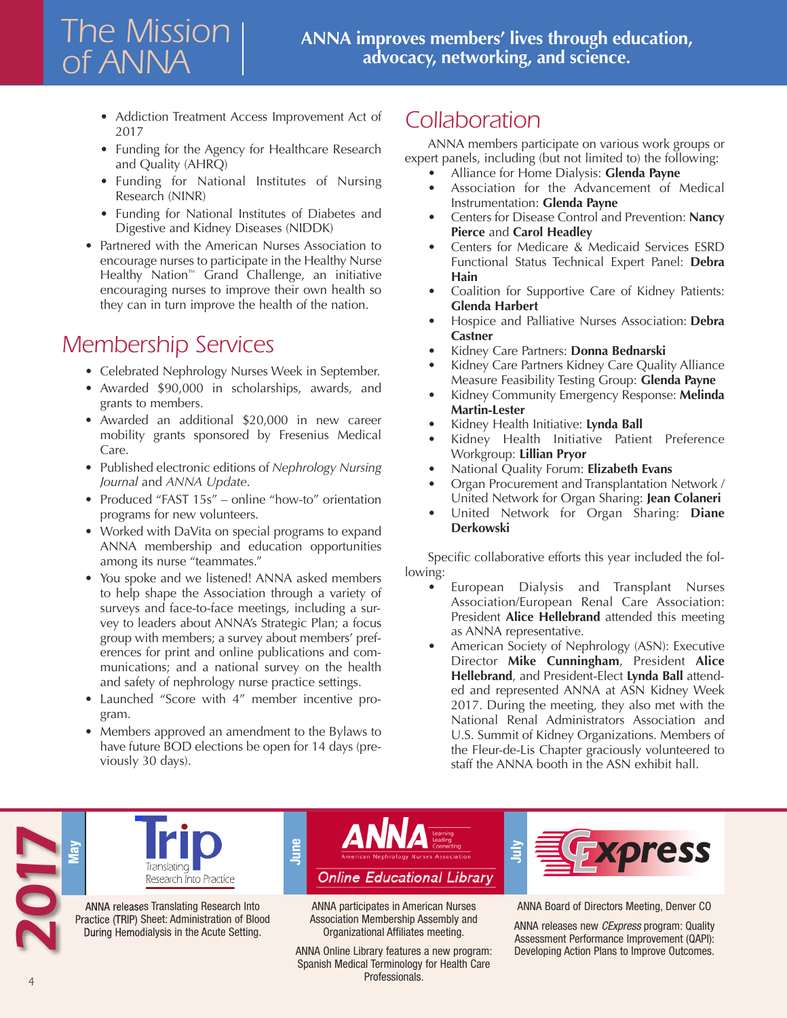- Addiction Treatment Access Improvement Act of 2017
- Funding for the Agency for Healthcare Research and Quality (AHRQ)
- Funding for National Institutes of Nursing Research (NINR)
- Funding for National Institutes of Diabetes and Digestive and Kidney Diseases (NIDDK)
- Partnered with the American Nurses Association to encourage nurses to participate in the Healthy Nurse Healthy Nation™ Grand Challenge, an initiative encouraging nurses to improve their own health so they can in turn improve the health of the nation.

## *Membership Services*

*The Mission*

*of ANNA*

- Celebrated Nephrology Nurses Week in September.
- Awarded \$90,000 in scholarships, awards, and grants to members.
- Awarded an additional \$20,000 in new career mobility grants sponsored by Fresenius Medical Care.
- Published electronic editions of *Nephrology Nursing Journal* and *ANNA Update*.
- Produced "FAST 15s" online "how-to" orientation programs for new volunteers.
- Worked with DaVita on special programs to expand ANNA membership and education opportunities among its nurse "teammates."
- You spoke and we listened! ANNA asked members to help shape the Association through a variety of surveys and face-to-face meetings, including a survey to leaders about ANNA's Strategic Plan; a focus group with members; a survey about members' preferences for print and online publications and communications; and a national survey on the health and safety of nephrology nurse practice settings.
- Launched "Score with 4" member incentive program.
- Members approved an amendment to the Bylaws to have future BOD elections be open for 14 days (previously 30 days).

## *Collaboration*

ANNA members participate on various work groups or expert panels, including (but not limited to) the following:

- Alliance for Home Dialysis: **Glenda Payne**
- Association for the Advancement of Medical Instrumentation: **Glenda Payne**
- Centers for Disease Control and Prevention: **Nancy Pierce** and **Carol Headley**
- Centers for Medicare & Medicaid Services ESRD Functional Status Technical Expert Panel: **Debra Hain**
- Coalition for Supportive Care of Kidney Patients: **Glenda Harbert**
- Hospice and Palliative Nurses Association: **Debra Castner**
- Kidney Care Partners: **Donna Bednarski**
- Kidney Care Partners Kidney Care Quality Alliance Measure Feasibility Testing Group: **Glenda Payne**
- Kidney Community Emergency Response: **Melinda Martin-Lester**
- Kidney Health Initiative: **Lynda Ball**
- Kidney Health Initiative Patient Preference Workgroup: **Lillian Pryor**
- National Quality Forum: **Elizabeth Evans**
- Organ Procurement and Transplantation Network / United Network for Organ Sharing: **Jean Colaneri**
- United Network for Organ Sharing: **Diane Derkowski**

Specific collaborative efforts this year included the following:

- European Dialysis and Transplant Nurses Association/European Renal Care Association: President **Alice Hellebrand** attended this meeting as ANNA representative.
- American Society of Nephrology (ASN): Executive Director **Mike Cunningham**, President **Alice Hellebrand**, and President-Elect **Lynda Ball** attended and represented ANNA at ASN Kidney Week 2017. During the meeting, they also met with the National Renal Administrators Association and U.S. Summit of Kidney Organizations. Members of the Fleur-de-Lis Chapter graciously volunteered to staff the ANNA booth in the ASN exhibit hall.





ANNA releases Translating Research Into Practice (TRIP) Sheet: Administration of Blood During Hemodialysis in the Acute Setting.



ANNA participates in American Nurses Association Membership Assembly and Organizational Affiliates meeting.

ANNA Online Library features a new program: Spanish Medical Terminology for Health Care Professionals.



ANNA Board of Directors Meeting, Denver CO

ANNA releases new *CExpress* program: Quality Assessment Performance Improvement (QAPI): Developing Action Plans to Improve Outcomes.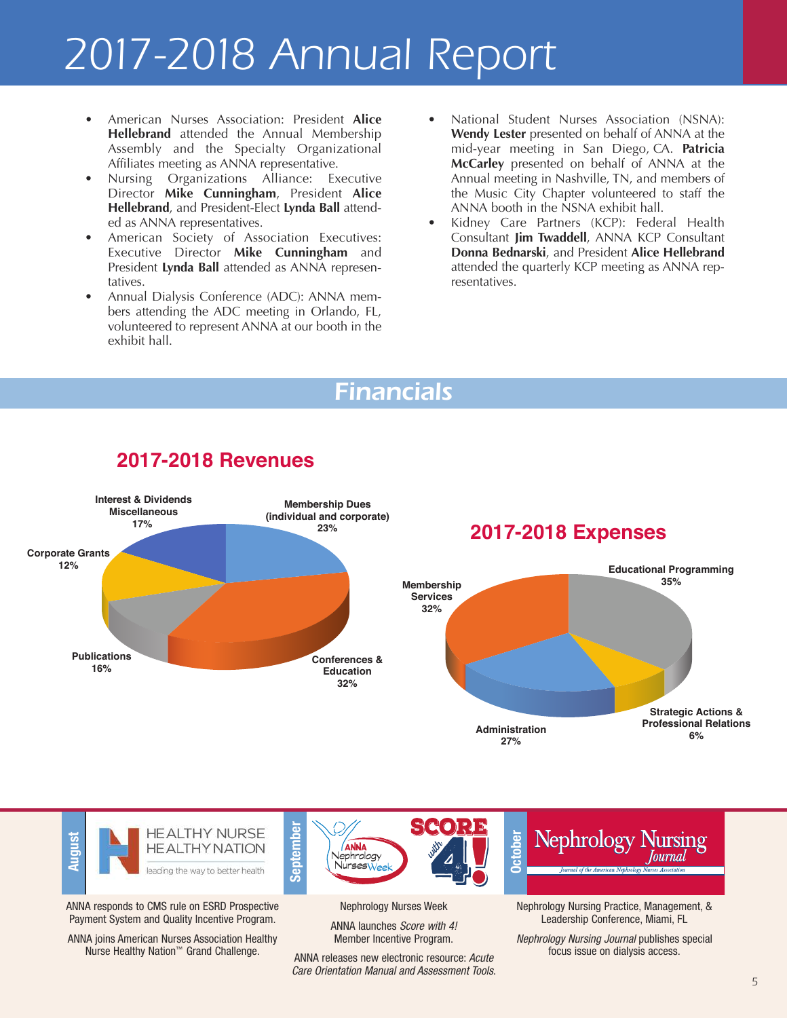# *2017-2018 Annual Report*

- American Nurses Association: President **Alice Hellebrand** attended the Annual Membership Assembly and the Specialty Organizational Affiliates meeting as ANNA representative.
- Nursing Organizations Alliance: Executive Director **Mike Cunningham**, President **Alice Hellebrand**, and President-Elect **Lynda Ball** attended as ANNA representatives.
- American Society of Association Executives: Executive Director **Mike Cunningham** and President **Lynda Ball** attended as ANNA representatives.
- Annual Dialysis Conference (ADC): ANNA members attending the ADC meeting in Orlando, FL, volunteered to represent ANNA at our booth in the exhibit hall.
- National Student Nurses Association (NSNA): **Wendy Lester** presented on behalf of ANNA at the mid-year meeting in San Diego, CA. **Patricia McCarley** presented on behalf of ANNA at the Annual meeting in Nashville, TN, and members of the Music City Chapter volunteered to staff the ANNA booth in the NSNA exhibit hall.
- Kidney Care Partners (KCP): Federal Health Consultant **Jim Twaddell**, ANNA KCP Consultant **Donna Bednarski**, and President **Alice Hellebrand** attended the quarterly KCP meeting as ANNA representatives.

## *Financials*



#### **2017-2018 Revenues**



ANNA responds to CMS rule on ESRD Prospective Payment System and Quality Incentive Program.

ANNA joins American Nurses Association Healthy Nurse Healthy Nation™ Grand Challenge.

Nephrology Nurses Week

SCORE

Nephrology NursesWeek **<sup>O</sup>**

**ANNA** 

ANNA launches *Score with 4!* Member Incentive Program.

ANNA releases new electronic resource: *Acute Care Orientation Manual and Assessment Tools*. Nephrology Nursing Practice, Management, & Leadership Conference, Miami, FL

**Nephrology Nursing** 

**cto ber**

*Nephrology Nursing Journal* publishes special focus issue on dialysis access.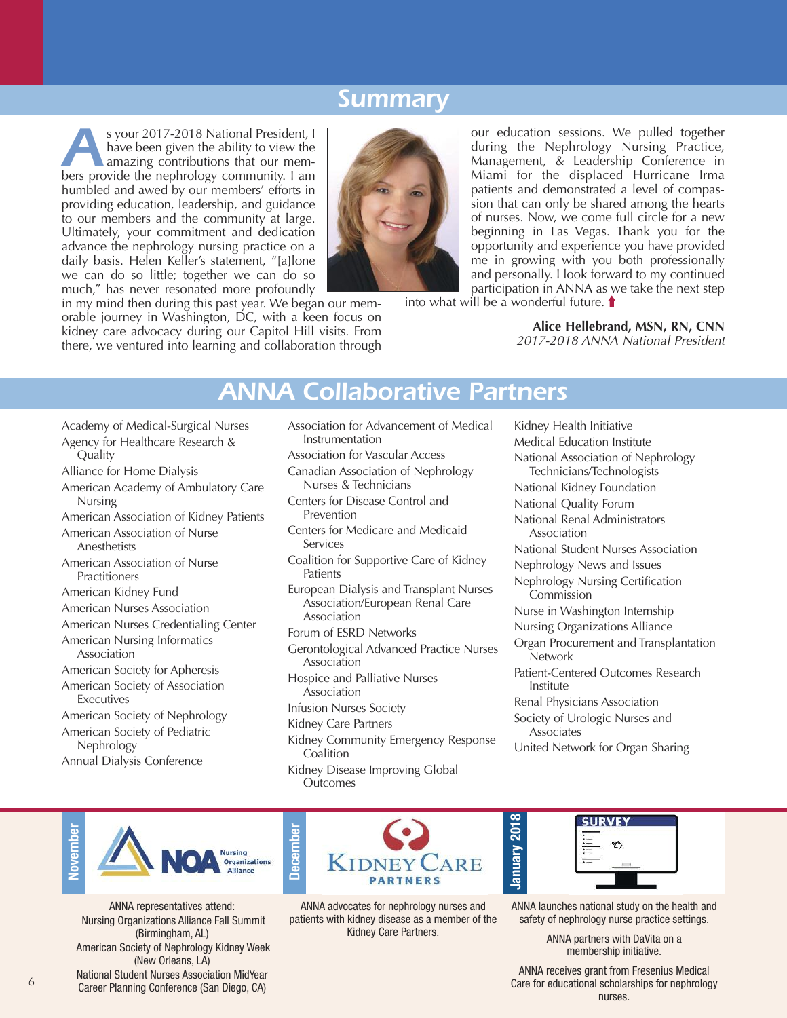## *Summary*

<sup>8</sup> your 2017-2018 National President, I<br>have been given the ability to view the<br>amazing contributions that our mem-<br>hers provide the nephrology community. I am have been given the ability to view the amazing contributions that our members provide the nephrology community. I am humbled and awed by our members' efforts in providing education, leadership, and guidance to our members and the community at large. Ultimately, your commitment and dedication advance the nephrology nursing practice on a daily basis. Helen Keller's statement, "[a]lone we can do so little; together we can do so much," has never resonated more profoundly



in my mind then during this past year. We began our memorable journey in Washington, DC, with a keen focus on kidney care advocacy during our Capitol Hill visits. From there, we ventured into learning and collaboration through

our education sessions. We pulled together during the Nephrology Nursing Practice, Management, & Leadership Conference in Miami for the displaced Hurricane Irma patients and demonstrated a level of compassion that can only be shared among the hearts of nurses. Now, we come full circle for a new beginning in Las Vegas. Thank you for the opportunity and experience you have provided me in growing with you both professionally and personally. I look forward to my continued participation in ANNA as we take the next step

into what will be a wonderful future.

**Alice Hellebrand, MSN, RN, CNN** *2017-2018 ANNA National President*

## *ANNA Collaborative Partners*

- Academy of Medical-Surgical Nurses Agency for Healthcare Research &
- Quality
- Alliance for Home Dialysis
- American Academy of Ambulatory Care Nursing
- American Association of Kidney Patients
- American Association of Nurse Anesthetists
- American Association of Nurse Practitioners
- American Kidney Fund
- American Nurses Association
- American Nurses Credentialing Center
- American Nursing Informatics Association
- American Society for Apheresis
- American Society of Association Executives
- American Society of Nephrology American Society of Pediatric Nephrology
- Annual Dialysis Conference
- Association for Advancement of Medical Instrumentation
- Association for Vascular Access
- Canadian Association of Nephrology Nurses & Technicians
- Centers for Disease Control and Prevention
- Centers for Medicare and Medicaid Services
- Coalition for Supportive Care of Kidney **Patients**
- European Dialysis and Transplant Nurses Association/European Renal Care Association
- Forum of ESRD Networks
- Gerontological Advanced Practice Nurses Association
- Hospice and Palliative Nurses Association
- Infusion Nurses Society
- Kidney Care Partners
- Kidney Community Emergency Response Coalition
- Kidney Disease Improving Global **Outcomes**

Kidney Health Initiative Medical Education Institute National Association of Nephrology Technicians/Technologists National Kidney Foundation National Quality Forum National Renal Administrators Association National Student Nurses Association Nephrology News and Issues Nephrology Nursing Certification **Commission** Nurse in Washington Internship Nursing Organizations Alliance Organ Procurement and Transplantation Network Patient-Centered Outcomes Research Institute Renal Physicians Association Society of Urologic Nurses and Associates

United Network for Organ Sharing



ANNA representatives attend: Nursing Organizations Alliance Fall Summit (Birmingham, AL) American Society of Nephrology Kidney Week (New Orleans, LA) National Student Nurses Association MidYear Career Planning Conference (San Diego, CA)



ANNA advocates for nephrology nurses and patients with kidney disease as a member of the Kidney Care Partners.



**January 2 018**

ANNA launches national study on the health and safety of nephrology nurse practice settings.

> ANNA partners with DaVita on a membership initiative.

ANNA receives grant from Fresenius Medical Care for educational scholarships for nephrology nurses.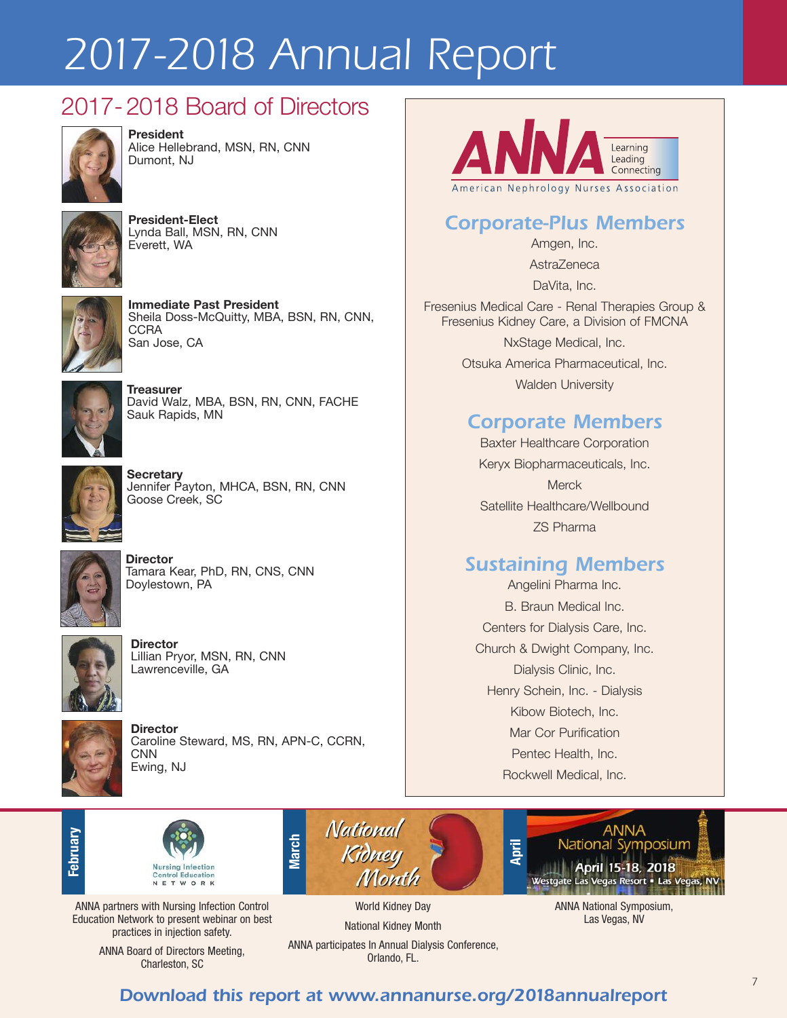# *2017-2018 Annual Report*

## 2017-2018 Board of Directors



**President** Alice Hellebrand, MSN, RN, CNN Dumont, NJ



**President-Elect** Lynda Ball, MSN, RN, CNN Everett, WA



**Immediate Past President** Sheila Doss-McQuitty, MBA, BSN, RN, CNN, **CCRA** San Jose, CA



**Treasurer** David Walz, MBA, BSN, RN, CNN, FACHE Sauk Rapids, MN



**Secretary** Jennifer Payton, MHCA, BSN, RN, CNN Goose Creek, SC



**Director** Tamara Kear, PhD, RN, CNS, CNN Doylestown, PA



**Director** Lillian Pryor, MSN, RN, CNN Lawrenceville, GA



**Director** Caroline Steward, MS, RN, APN-C, CCRN, **CNN** Ewing, NJ



## *Corporate-Plus Members*

Amgen, Inc.

AstraZeneca

DaVita, Inc.

Fresenius Medical Care - Renal Therapies Group & Fresenius Kidney Care, a Division of FMCNA

> NxStage Medical, Inc. Otsuka America Pharmaceutical, Inc. Walden University

### *Corporate Members*

Baxter Healthcare Corporation Keryx Biopharmaceuticals, Inc. **Merck** Satellite Healthcare/Wellbound ZS Pharma

### *Sustaining Members*

Angelini Pharma Inc. B. Braun Medical Inc. Centers for Dialysis Care, Inc. Church & Dwight Company, Inc. Dialysis Clinic, Inc. Henry Schein, Inc. - Dialysis Kibow Biotech, Inc. Mar Cor Purification Pentec Health, Inc. Rockwell Medical, Inc.









ANNA National Symposium, Las Vegas, NV

ANNA partners with Nursing Infection Control Education Network to present webinar on best practices in injection safety.

> ANNA Board of Directors Meeting, Charleston, SC

ANNA participates In Annual Dialysis Conference, Orlando, FL.

National Kidney Month